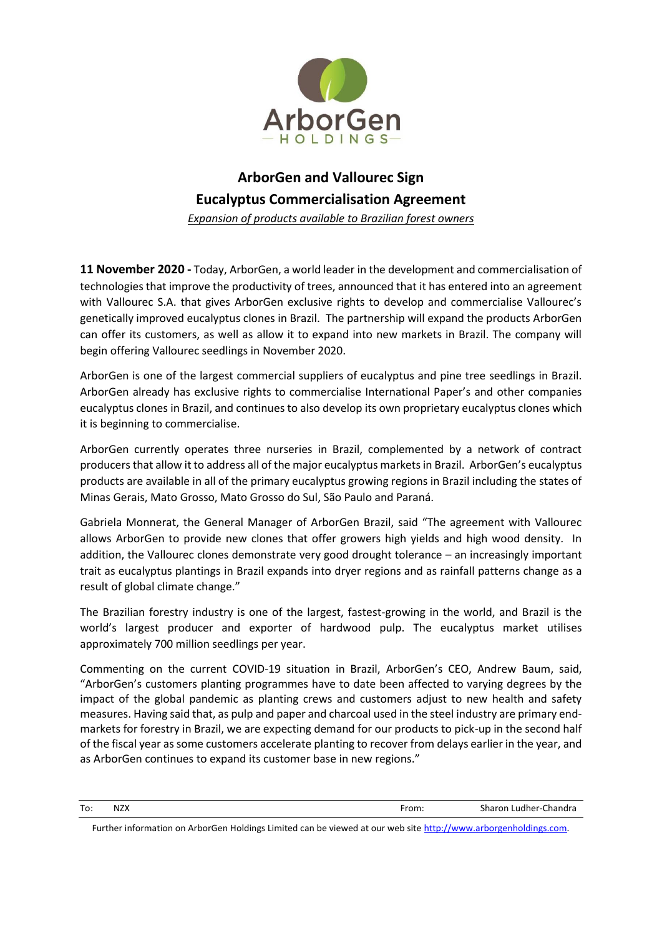

## **ArborGen and Vallourec Sign Eucalyptus Commercialisation Agreement**

*Expansion of products available to Brazilian forest owners*

**11 November 2020 -** Today, ArborGen, a world leader in the development and commercialisation of technologies that improve the productivity of trees, announced that it has entered into an agreement with Vallourec S.A. that gives ArborGen exclusive rights to develop and commercialise Vallourec's genetically improved eucalyptus clones in Brazil. The partnership will expand the products ArborGen can offer its customers, as well as allow it to expand into new markets in Brazil. The company will begin offering Vallourec seedlings in November 2020.

ArborGen is one of the largest commercial suppliers of eucalyptus and pine tree seedlings in Brazil. ArborGen already has exclusive rights to commercialise International Paper's and other companies eucalyptus clones in Brazil, and continues to also develop its own proprietary eucalyptus clones which it is beginning to commercialise.

ArborGen currently operates three nurseries in Brazil, complemented by a network of contract producers that allow it to address all of the major eucalyptus markets in Brazil. ArborGen's eucalyptus products are available in all of the primary eucalyptus growing regions in Brazil including the states of Minas Gerais, Mato Grosso, Mato Grosso do Sul, São Paulo and Paraná.

Gabriela Monnerat, the General Manager of ArborGen Brazil, said "The agreement with Vallourec allows ArborGen to provide new clones that offer growers high yields and high wood density. In addition, the Vallourec clones demonstrate very good drought tolerance – an increasingly important trait as eucalyptus plantings in Brazil expands into dryer regions and as rainfall patterns change as a result of global climate change."

The Brazilian forestry industry is one of the largest, fastest-growing in the world, and Brazil is the world's largest producer and exporter of hardwood pulp. The eucalyptus market utilises approximately 700 million seedlings per year.

Commenting on the current COVID-19 situation in Brazil, ArborGen's CEO, Andrew Baum, said, "ArborGen's customers planting programmes have to date been affected to varying degrees by the impact of the global pandemic as planting crews and customers adjust to new health and safety measures. Having said that, as pulp and paper and charcoal used in the steel industry are primary endmarkets for forestry in Brazil, we are expecting demand for our products to pick-up in the second half of the fiscal year as some customers accelerate planting to recover from delays earlier in the year, and as ArborGen continues to expand its customer base in new regions."

| To: | NZX | -rom:<br>______ | Chandra<br>Sharon<br>Ludher-C |
|-----|-----|-----------------|-------------------------------|
|-----|-----|-----------------|-------------------------------|

Further information on ArborGen Holdings Limited can be viewed at our web site [http://www.arborgenholdings.com](http://www.arborgenholdings.com/)*.*